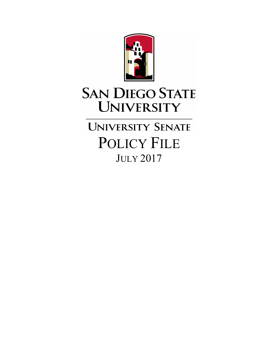

# **SAN DIEGO STATE UNIVERSITY**

**UNIVERSITY SENATE** POLICY FILE JULY 2017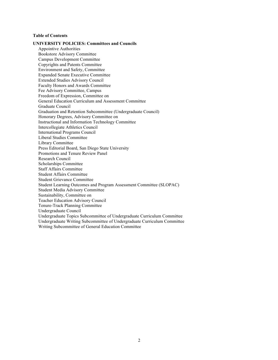# **Table of Contents**

**UNIVERSITY POLICIES: Committees and Councils** Appointive Authorities Bookstore Advisory Committee Campus Development Committee Copyrights and Patents Committee Environment and Safety, Committee Expanded Senate Executive Committee Extended Studies Advisory Council Faculty Honors and Awards Committee Fee Advisory Committee, Campus Freedom of Expression, Committee on General Education Curriculum and Assessment Committee Graduate Council Graduation and Retention Subcommittee (Undergraduate Council) Honorary Degrees, Advisory Committee on Instructional and Information Technology Committee Intercollegiate Athletics Council International Programs Council Liberal Studies Committee Library Committee Press Editorial Board, San Diego State University Promotions and Tenure Review Panel Research Council Scholarships Committee Staff Affairs Committee Student Affairs Committee Student Grievance Committee Student Learning Outcomes and Program Assessment Committee (SLOPAC) Student Media Advisory Committee Sustainability, Committee on Teacher Education Advisory Council Tenure-Track Planning Committee Undergraduate Council Undergraduate Topics Subcommittee of Undergraduate Curriculum Committee Undergraduate Writing Subcommittee of Undergraduate Curriculum Committee Writing Subcommittee of General Education Committee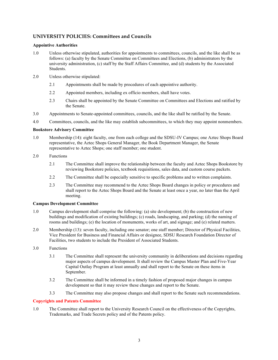# **UNIVERSITY POLICIES: Committees and Councils**

# **Appointive Authorities**

- 1.0 Unless otherwise stipulated, authorities for appointments to committees, councils, and the like shall be as follows: (a) faculty by the Senate Committee on Committees and Elections, (b) administrators by the university administration, (c) staff by the Staff Affairs Committee, and (d) students by the Associated **Students**
- 2.0 Unless otherwise stipulated:
	- 2.1 Appointments shall be made by procedures of each appointive authority.
	- 2.2 Appointed members, including ex officio members, shall have votes.
	- 2.3 Chairs shall be appointed by the Senate Committee on Committees and Elections and ratified by the Senate.
- 3.0 Appointments to Senate-appointed committees, councils, and the like shall be ratified by the Senate.
- 4.0 Committees, councils, and the like may establish subcommittees, to which they may appoint nonmembers.

# **Bookstore Advisory Committee**

- 1.0 Membership (14): eight faculty, one from each college and the SDSU-IV Campus; one Aztec Shops Board representative, the Aztec Shops General Manager, the Book Department Manager, the Senate representative to Aztec Shops; one staff member; one student.
- 2.0 Functions
	- 2.1 The Committee shall improve the relationship between the faculty and Aztec Shops Bookstore by reviewing Bookstore policies, textbook requisitions, sales data, and custom course packets.
	- 2.2 The Committee shall be especially sensitive to specific problems and to written complaints.
	- 2.3 The Committee may recommend to the Aztec Shops Board changes in policy or procedures and shall report to the Aztec Shops Board and the Senate at least once a year, no later than the April meeting.

# **Campus Development Committee**

- 1.0 Campus development shall comprise the following: (a) site development; (b) the construction of new buildings and modification of existing buildings; (c) roads, landscaping, and parking; (d) the naming of rooms and buildings; (e) the location of monuments, works of art, and signage; and (e) related matters.
- 2.0 Membership (13): seven faculty, including one senator; one staff member; Director of Physical Facilities, Vice President for Business and Financial Affairs or designee, SDSU Research Foundation Director of Facilities, two students to include the President of Associated Students.
- 3.0 Functions
	- 3.1 The Committee shall represent the university community in deliberations and decisions regarding major aspects of campus development. It shall review the Campus Master Plan and Five-Year Capital Outlay Program at least annually and shall report to the Senate on these items in September.
	- 3.2 The Committee shall be informed in a timely fashion of proposed major changes in campus development so that it may review these changes and report to the Senate.
	- 3.3 The Committee may also propose changes and shall report to the Senate such recommendations.

# **Copyrights and Patents Committee**

1.0 The Committee shall report to the University Research Council on the effectiveness of the Copyrights, Trademarks, and Trade Secrets policy and of the Patents policy.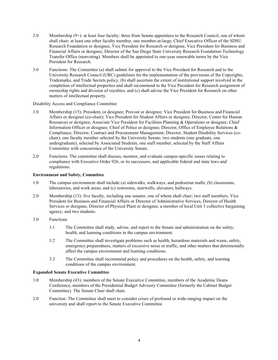- 2.0 Membership (9+): at least four faculty: three from Senate appointees to the Research Council, one of whom shall chair; at least one other faculty member, one member-at-large, Chief Executive Officer of the SDSU Research Foundation or designee, Vice President for Research or designee, Vice President for Business and Financial Affairs or designee, Director of the San Diego State University Research Foundation Technology Transfer Office (nonvoting). Members shall be appointed to one-year renewable terms by the Vice President for Research.
- 3.0 Functions: The Committee (a) shall submit for approval to the Vice President for Research and to the University Research Council (URC) guidelines for the implementation of the provisions of the Copyrights, Trademarks, and Trade Secrets policy, (b) shall ascertain the extent of institutional support involved in the completion of intellectual properties and shall recommend to the Vice President for Research assignment of ownership rights and division of royalties, and (c) shall advise the Vice President for Research on other matters of intellectual property.

Disability Access and Compliance Committee

- 1.0 Membership (15): President, or designee; Provost or designee; Vice President for Business and Financial Affairs or designee (co-chair); Vice President for Student Affairs or designee; Director, Center for Human Resources or designee; Associate Vice President for Facilities Planning & Operations or designee; Chief Information Officer or designee; Chief of Police or designee; Director, Office of Employee Relations & Compliance; Director, Contract and Procurement Management; Director, Student Disability Services (cochair); one faculty member selected by the University Senate; two students (one graduate, one undergraduate), selected by Associated Students, one staff member, selected by the Staff Affairs Committee with concurrence of the University Senate.
- 2.0 Functions: The committee shall discuss, monitor, and evaluate campus-specific issues relating to compliance with Executive Order 926, or its successors, and applicable federal and state laws and regulations.

# **Environment and Safety, Committee**

- 1.0 The campus environment shall include (a) sidewalks, walkways, and pedestrian malls; (b) classrooms, laboratories, and work areas; and (c) restrooms, stairwells, elevators, hallways.
- 2.0 Membership (13): five faculty, including one senator, one of whom shall chair; two staff members, Vice President for Business and Financial Affairs or Director of Administrative Services, Director of Health Services or designee, Director of Physical Plant or designee, a member of local Unit 3 collective bargaining agency, and two students.
- 3.0 Functions
	- 3.1 The Committee shall study, advise, and report to the Senate and administration on the safety, health, and learning conditions in the campus environment.
	- 3.2 The Committee shall investigate problems such as health, hazardous materials and waste, safety, emergency preparedness, matters of excessive noise or traffic, and other matters that detrimentally affect the campus environment and learning conditions.
	- 3.3 The Committee shall recommend policy and procedures on the health, safety, and learning conditions of the campus environment.

# **Expanded Senate Executive Committee**

- 1.0 Membership (43): members of the Senate Executive Committee, members of the Academic Deans Conference, members of the Presidential Budget Advisory Committee (formerly the Cabinet Budget Committee). The Senate Chair shall chair.
- 2.0 Function: The Committee shall meet to consider crises of profound or wide-ranging impact on the university and shall report to the Senate Executive Committee.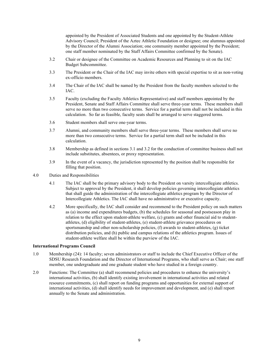appointed by the President of Associated Students and one appointed by the Student-Athlete Advisory Council; President of the Aztec Athletic Foundation or designee; one alumnus appointed by the Director of the Alumni Association; one community member appointed by the President; one staff member nominated by the Staff Affairs Committee confirmed by the Senate).

- 3.2 Chair or designee of the Committee on Academic Resources and Planning to sit on the IAC Budget Subcommittee.
- 3.3 The President or the Chair of the IAC may invite others with special expertise to sit as non-voting ex-officio members.
- 3.4 The Chair of the IAC shall be named by the President from the faculty members selected to the IAC.
- 3.5 Faculty (excluding the Faculty Athletics Representative) and staff members appointed by the President, Senate and Staff Affairs Committee shall serve three-year terms. These members shall serve no more than two consecutive terms. Service for a partial term shall not be included in this calculation. So far as feasible, faculty seats shall be arranged to serve staggered terms.
- 3.6 Student members shall serve one-year terms.
- 3.7 Alumni, and community members shall serve three-year terms. These members shall serve no more than two consecutive terms. Service for a partial term shall not be included in this calculation.
- 3.8 Membership as defined in sections 3.1 and 3.2 for the conduction of committee business shall not include substitutes, absentees, or proxy representation.
- 3.9 In the event of a vacancy, the jurisdiction represented by the position shall be responsible for filling that position.
- 4.0 Duties and Responsibilities
	- 4.1 The IAC shall be the primary advisory body to the President on varsity intercollegiate athletics. Subject to approval by the President, it shall develop policies governing intercollegiate athletics that shall guide the administration of the intercollegiate athletics program by the Director of Intercollegiate Athletics. The IAC shall have no administrative or executive capacity.
	- 4.2 More specifically, the IAC shall consider and recommend to the President policy on such matters as (a) income and expenditures budgets, (b) the schedules for seasonal and postseason play in relation to the effect upon student-athlete welfare, (c) grants and other financial aid to studentathletes, (d) eligibility of student-athletes, (e) student-athlete grievance procedures on sportsmanship and other non-scholarship policies, (f) awards to student-athletes, (g) ticket distribution policies, and (h) public and campus relations of the athletics program. Issues of student-athlete welfare shall be within the purview of the IAC.

#### **International Programs Council**

- 1.0 Membership (24): 14 faculty; seven administrators or staff to include the Chief Executive Officer of the SDSU Research Foundation and the Director of International Programs, who shall serve as Chair; one staff member, one undergraduate and one graduate student who have studied in a foreign country.
- 2.0 Functions: The Committee (a) shall recommend policies and procedures to enhance the university's international activities, (b) shall identify existing involvement in international activities and related resource commitments, (c) shall report on funding programs and opportunities for external support of international activities, (d) shall identify needs for improvement and development, and (e) shall report annually to the Senate and administration.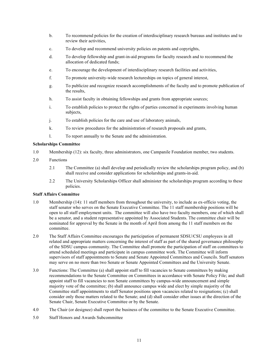- b. To recommend policies for the creation of interdisciplinary research bureaus and institutes and to review their activities,
- c. To develop and recommend university policies on patents and copyrights,
- d. To develop fellowship and grant-in-aid programs for faculty research and to recommend the allocation of dedicated funds;
- e. To encourage the development of interdisciplinary research facilities and activities,
- f. To promote university-wide research lectureships on topics of general interest,
- g. To publicize and recognize research accomplishments of the faculty and to promote publication of the results,
- h. To assist faculty in obtaining fellowships and grants from appropriate sources;
- i. To establish policies to protect the rights of parties concerned in experiments involving human subjects,
- j. To establish policies for the care and use of laboratory animals,
- k. To review procedures for the administration of research proposals and grants,
- l. To report annually to the Senate and the administration.

# **Scholarships Committee**

- 1.0 Membership (12): six faculty, three administrators, one Campanile Foundation member, two students.
- 2.0 Functions
	- 2.1 The Committee (a) shall develop and periodically review the scholarships program policy, and (b) shall receive and consider applications for scholarships and grants-in-aid.
	- 2.2 The University Scholarships Officer shall administer the scholarships program according to these policies.

#### **Staff Affairs Committee**

- 1.0 Membership (14): 11 staff members from throughout the university, to include as ex-officio voting, the staff senator who serves on the Senate Executive Committee. The 11 staff membership positions will be open to all staff employment units. The committee will also have two faculty members, one of which shall be a senator, and a student representative appointed by Associated Students. The committee chair will be nominated for approval by the Senate in the month of April from among the 11 staff members on the committee.
- 2.0 The Staff Affairs Committee encourages the participation of permanent SDSU/CSU employees in all related and appropriate matters concerning the interest of staff as part of the shared governance philosophy of the SDSU campus community. The Committee shall promote the participation of staff on committees to attend scheduled meetings and participate in campus committee work. The Committee will inform supervisors of staff appointments to Senate and Senate Appointed Committees and Councils. Staff senators may serve on no more than two Senate or Senate Appointed Committees and the University Senate.
- 3.0 Functions: The Committee (a) shall appoint staff to fill vacancies to Senate committees by making recommendations to the Senate Committee on Committees in accordance with Senate Policy File; and shall appoint staff to fill vacancies to non Senate committees by campus-wide announcement and simple majority vote of the committee; (b) shall announce campus wide and elect by simple majority of the Committee staff appointments to staff Senator positions upon vacancies related to resignations; (c) shall consider only those matters related to the Senate; and (d) shall consider other issues at the direction of the Senate Chair, Senate Executive Committee or by the Senate.
- 4.0 The Chair (or designee) shall report the business of the committee to the Senate Executive Committee.
- 5.0 Staff Honors and Awards Subcommittee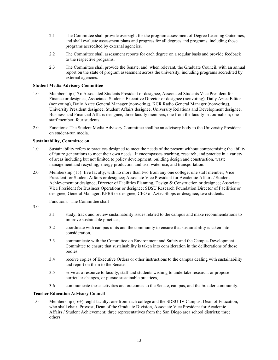- 2.1 The Committee shall provide oversight for the program assessment of Degree Learning Outcomes, and shall evaluate assessment plans and progress for all degrees and programs, including those programs accredited by external agencies.
- 2.2 The Committee shall assessment reports for each degree on a regular basis and provide feedback to the respective programs.
- 2.3 The Committee shall provide the Senate, and, when relevant, the Graduate Council, with an annual report on the state of program assessment across the university, including programs accredited by external agencies.

# **Student Media Advisory Committee**

- 1.0 Membership (17): Associated Students President or designee, Associated Students Vice President for Finance or designee, Associated Students Executive Director or designee (nonvoting), Daily Aztec Editor (nonvoting), Daily Aztec General Manager (nonvoting), KCR Radio General Manager (nonvoting), University President designee, Student Affairs designee, University Relations and Development designee, Business and Financial Affairs designee, three faculty members, one from the faculty in Journalism; one staff member; four students.
- 2.0 Functions: The Student Media Advisory Committee shall be an advisory body to the University President on student-run media.

# **Sustainability, Committee on**

- 1.0 Sustainability refers to practices designed to meet the needs of the present without compromising the ability of future generations to meet their own needs. It encompasses teaching, research, and practice in a variety of areas including but not limited to policy development, building design and construction, waste management and recycling, energy production and use, water use, and transportation.
- 2.0 Membership (15): five faculty, with no more than two from any one college; one staff member; Vice President for Student Affairs or designee; Associate Vice President for Academic Affairs / Student Achievement or designee; Director of Facilities Planning, Design & Construction or designee; Associate Vice President for Business Operations or designee; SDSU Research Foundation Director of Facilities or designee; General Manager, KPBS or designee; CEO of Aztec Shops or designee; two students.

Functions. The Committee shall

- 3.0
- 3.1 study, track and review sustainability issues related to the campus and make recommendations to improve sustainable practices,
- 3.2 coordinate with campus units and the community to ensure that sustainability is taken into consideration,
- 3.3 communicate with the Committee on Environment and Safety and the Campus Development Committee to ensure that sustainability is taken into consideration in the deliberations of those bodies,
- 3.4 receive copies of Executive Orders or other instructions to the campus dealing with sustainability and report on them to the Senate,
- 3.5 serve as a resource to faculty, staff and students wishing to undertake research, or propose curricular changes, or pursue sustainable practices,
- 3.6 communicate these activities and outcomes to the Senate, campus, and the broader community.

#### **Teacher Education Advisory Council**

1.0 Membership (16+): eight faculty, one from each college and the SDSU-IV Campus; Dean of Education, who shall chair, Provost, Dean of UDGXWHDLUVAssociate Vice President for Academic Affairs / Student Achievement; three representatives from the San Diego area school districts; three others.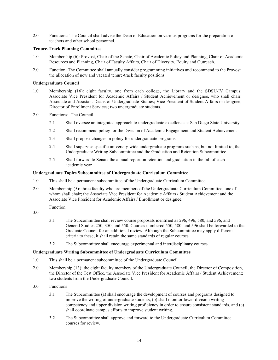2.0 Functions: The Council shall advise the Dean of Education on various programs for the preparation of teachers and other school personnel.

# **Tenure-Track Planning Committee**

- 1.0 Membership (6): Provost, Chair of the Senate, Chair of Academic Policy and Planning, Chair of Academic Resources and Planning, Chair of Faculty Affairs, Chair of Diversity, Equity and Outreach.
- 2.0 Function: The Committee shall annually consider programming initiatives and recommend to the Provost the allocation of new and vacated tenure-track faculty positions.

#### **Undergraduate Council**

- 1.0 Membership (16): eight faculty, one from each college, the Library and the SDSU-IV Campus; Associate Vice President for Academic Affairs / Student Achievement or designee, who shall chair; Associate and Assistant Deans of Undergraduate Studies; Vice President of Student Affairs or designee; Director of Enrollment Services; two undergraduate students.
- 2.0 Functions: The Council
	- 2.1 Shall oversee an integrated approach to undergraduate excellence at San Diego State University
	- 2.2 Shall recommend policy for the Division of Academic Engagement and Student Achievement
	- 2.3 Shall propose changes in policy for undergraduate programs
	- 2.4 Shall supervise specific university-wide undergraduate programs such as, but not limited to, the Undergraduate Writing Subcommittee and the Graduation and Retention Subcommittee
	- 2.5 Shall forward to Senate the annual report on retention and graduation in the fall of each academic year

#### **Undergraduate Topics Subcommittee of Undergraduate Curriculum Committee**

- 1.0 This shall be a permanent subcommittee of the Undergraduate Curriculum Committee
- 2.0 Membership (5): three faculty who are members of the Undergraduate Curriculum Committee, one of whom shall chair; the Associate Vice President for Academic Affairs / Student Achievement and the Associate Vice President for Academic Affairs / Enrollment or designee.

Function

# 3.0

- 3.1 The Subcommittee shall review course proposals identified as 296, 496, 580, and 596, and General Studies 250, 350, and 550. Courses numbered 550, 580, and 596 shall be forwarded to the Graduate Council for an additional review. Although the Subcommittee may apply different criteria to these, it shall retain the same standards of regular courses.
- 3.2 The Subcommittee shall encourage experimental and interdisciplinary courses.

#### **Undergraduate Writing Subcommittee of Undergraduate Curriculum Committee**

- 1.0 This shall be a permanent subcommittee of the Undergraduate Council.
- 2.0 Membership (13): the eight faculty members of the Undergraduate Council; the Director of Composition, the Director of the Test Office, the Associate Vice President for Academic Affairs / Student Achievement; two students from the Undergraduate Council.
- 3.0 Functions
	- 3.1 The Subcommittee (a) shall encourage the development of courses and programs designed to improve the writing of undergraduate students, (b) shall monitor lower division writing competency and upper division writing proficiency in order to ensure consistent standards, and (c) shall coordinate campus efforts to improve student writing.
	- 3.2 The Subcommittee shall approve and forward to the Undergraduate Curriculum Committee courses for review.